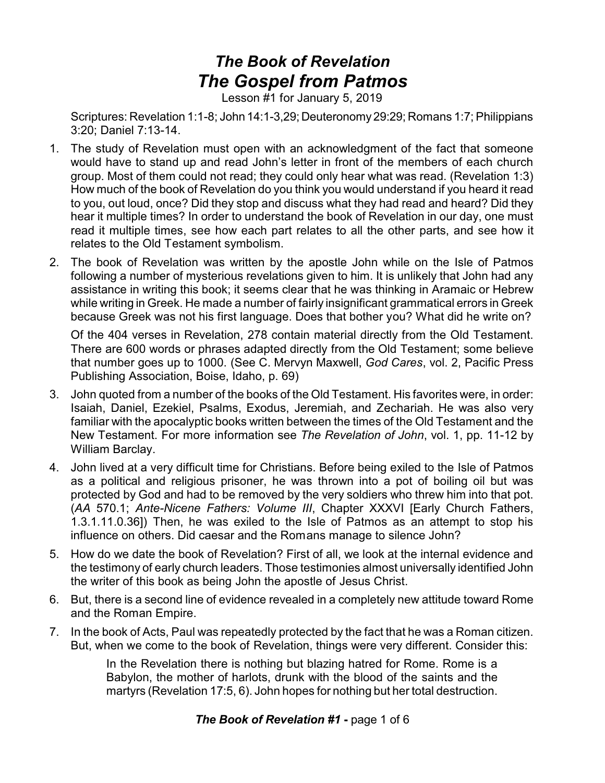## *The Book of Revelation The Gospel from Patmos*

Lesson #1 for January 5, 2019

Scriptures: Revelation 1:1-8; John 14:1-3,29; Deuteronomy29:29; Romans 1:7; Philippians 3:20; Daniel 7:13-14.

- 1. The study of Revelation must open with an acknowledgment of the fact that someone would have to stand up and read John's letter in front of the members of each church group. Most of them could not read; they could only hear what was read. (Revelation 1:3) How much of the book of Revelation do you think you would understand if you heard it read to you, out loud, once? Did they stop and discuss what they had read and heard? Did they hear it multiple times? In order to understand the book of Revelation in our day, one must read it multiple times, see how each part relates to all the other parts, and see how it relates to the Old Testament symbolism.
- 2. The book of Revelation was written by the apostle John while on the Isle of Patmos following a number of mysterious revelations given to him. It is unlikely that John had any assistance in writing this book; it seems clear that he was thinking in Aramaic or Hebrew while writing in Greek. He made a number of fairly insignificant grammatical errors in Greek because Greek was not his first language. Does that bother you? What did he write on?

Of the 404 verses in Revelation, 278 contain material directly from the Old Testament. There are 600 words or phrases adapted directly from the Old Testament; some believe that number goes up to 1000. (See C. Mervyn Maxwell, *God Cares*, vol. 2, Pacific Press Publishing Association, Boise, Idaho, p. 69)

- 3. John quoted from a number of the books of the Old Testament. His favorites were, in order: Isaiah, Daniel, Ezekiel, Psalms, Exodus, Jeremiah, and Zechariah. He was also very familiar with the apocalyptic books written between the times of the Old Testament and the New Testament. For more information see *The Revelation of John*, vol. 1, pp. 11-12 by William Barclay.
- 4. John lived at a very difficult time for Christians. Before being exiled to the Isle of Patmos as a political and religious prisoner, he was thrown into a pot of boiling oil but was protected by God and had to be removed by the very soldiers who threw him into that pot. (*AA* 570.1; *Ante-Nicene Fathers: Volume III*, Chapter XXXVI [Early Church Fathers, 1.3.1.11.0.36]) Then, he was exiled to the Isle of Patmos as an attempt to stop his influence on others. Did caesar and the Romans manage to silence John?
- 5. How do we date the book of Revelation? First of all, we look at the internal evidence and the testimony of early church leaders. Those testimonies almost universally identified John the writer of this book as being John the apostle of Jesus Christ.
- 6. But, there is a second line of evidence revealed in a completely new attitude toward Rome and the Roman Empire.
- 7. In the book of Acts, Paul was repeatedly protected by the fact that he was a Roman citizen. But, when we come to the book of Revelation, things were very different. Consider this:

In the Revelation there is nothing but blazing hatred for Rome. Rome is a Babylon, the mother of harlots, drunk with the blood of the saints and the martyrs (Revelation 17:5, 6). John hopes for nothing but her total destruction.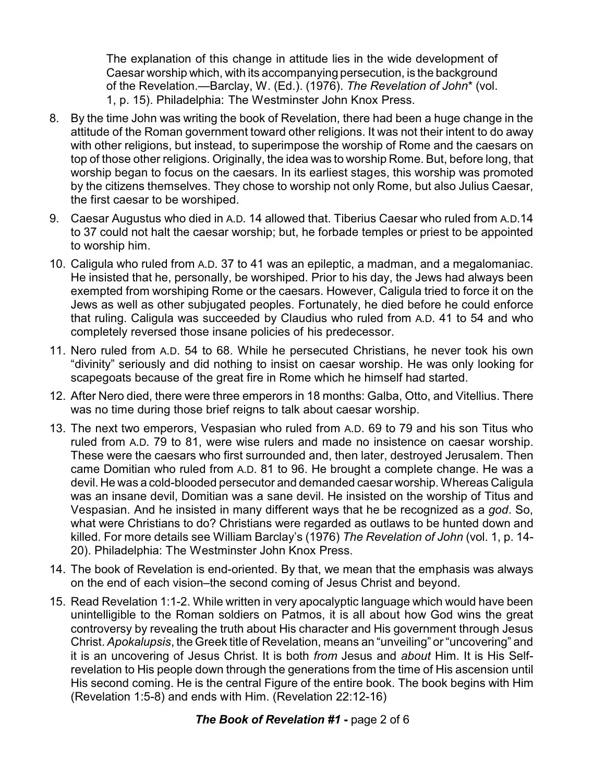The explanation of this change in attitude lies in the wide development of Caesar worship which, with its accompanying persecution, is the background of the Revelation.—Barclay, W. (Ed.). (1976). *The Revelation of John*\* (vol. 1, p. 15). Philadelphia: The Westminster John Knox Press.

- 8. By the time John was writing the book of Revelation, there had been a huge change in the attitude of the Roman government toward other religions. It was not their intent to do away with other religions, but instead, to superimpose the worship of Rome and the caesars on top of those other religions. Originally, the idea was to worship Rome. But, before long, that worship began to focus on the caesars. In its earliest stages, this worship was promoted by the citizens themselves. They chose to worship not only Rome, but also Julius Caesar, the first caesar to be worshiped.
- 9. Caesar Augustus who died in A.D. 14 allowed that. Tiberius Caesar who ruled from A.D.14 to 37 could not halt the caesar worship; but, he forbade temples or priest to be appointed to worship him.
- 10. Caligula who ruled from A.D. 37 to 41 was an epileptic, a madman, and a megalomaniac. He insisted that he, personally, be worshiped. Prior to his day, the Jews had always been exempted from worshiping Rome or the caesars. However, Caligula tried to force it on the Jews as well as other subjugated peoples. Fortunately, he died before he could enforce that ruling. Caligula was succeeded by Claudius who ruled from A.D. 41 to 54 and who completely reversed those insane policies of his predecessor.
- 11. Nero ruled from A.D. 54 to 68. While he persecuted Christians, he never took his own "divinity" seriously and did nothing to insist on caesar worship. He was only looking for scapegoats because of the great fire in Rome which he himself had started.
- 12. After Nero died, there were three emperors in 18 months: Galba, Otto, and Vitellius. There was no time during those brief reigns to talk about caesar worship.
- 13. The next two emperors, Vespasian who ruled from A.D. 69 to 79 and his son Titus who ruled from A.D. 79 to 81, were wise rulers and made no insistence on caesar worship. These were the caesars who first surrounded and, then later, destroyed Jerusalem. Then came Domitian who ruled from A.D. 81 to 96. He brought a complete change. He was a devil. He was a cold-blooded persecutor and demanded caesar worship. Whereas Caligula was an insane devil, Domitian was a sane devil. He insisted on the worship of Titus and Vespasian. And he insisted in many different ways that he be recognized as a *god*. So, what were Christians to do? Christians were regarded as outlaws to be hunted down and killed. For more details see William Barclay's (1976) *The Revelation of John* (vol. 1, p. 14- 20). Philadelphia: The Westminster John Knox Press.
- 14. The book of Revelation is end-oriented. By that, we mean that the emphasis was always on the end of each vision–the second coming of Jesus Christ and beyond.
- 15. Read Revelation 1:1-2. While written in very apocalyptic language which would have been unintelligible to the Roman soldiers on Patmos, it is all about how God wins the great controversy by revealing the truth about His character and His government through Jesus Christ. *Apokalupsis*, the Greek title of Revelation, means an "unveiling" or "uncovering" and it is an uncovering of Jesus Christ. It is both *from* Jesus and *about* Him. It is His Selfrevelation to His people down through the generations from the time of His ascension until His second coming. He is the central Figure of the entire book. The book begins with Him (Revelation 1:5-8) and ends with Him. (Revelation 22:12-16)

## *The Book of Revelation #1* **-** page 2 of 6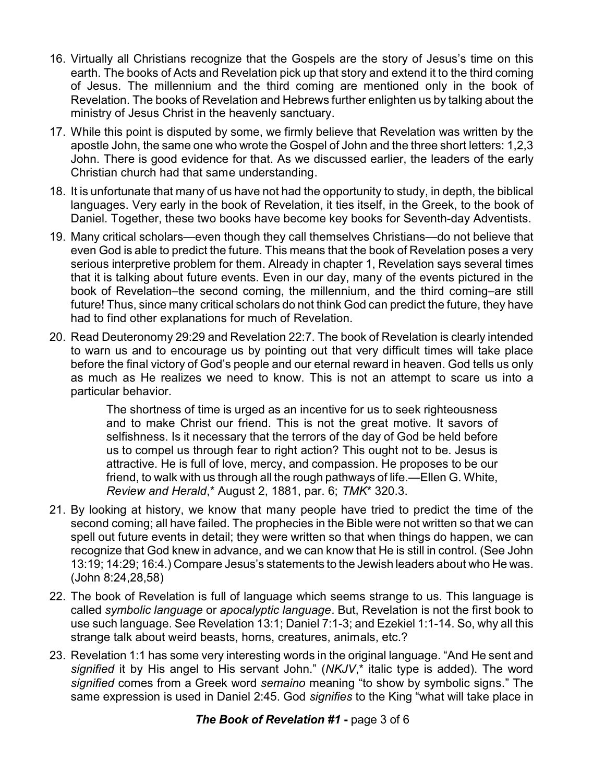- 16. Virtually all Christians recognize that the Gospels are the story of Jesus's time on this earth. The books of Acts and Revelation pick up that story and extend it to the third coming of Jesus. The millennium and the third coming are mentioned only in the book of Revelation. The books of Revelation and Hebrews further enlighten us by talking about the ministry of Jesus Christ in the heavenly sanctuary.
- 17. While this point is disputed by some, we firmly believe that Revelation was written by the apostle John, the same one who wrote the Gospel of John and the three short letters: 1,2,3 John. There is good evidence for that. As we discussed earlier, the leaders of the early Christian church had that same understanding.
- 18. It is unfortunate that many of us have not had the opportunity to study, in depth, the biblical languages. Very early in the book of Revelation, it ties itself, in the Greek, to the book of Daniel. Together, these two books have become key books for Seventh-day Adventists.
- 19. Many critical scholars—even though they call themselves Christians—do not believe that even God is able to predict the future. This means that the book of Revelation poses a very serious interpretive problem for them. Already in chapter 1, Revelation says several times that it is talking about future events. Even in our day, many of the events pictured in the book of Revelation–the second coming, the millennium, and the third coming–are still future! Thus, since many critical scholars do not think God can predict the future, they have had to find other explanations for much of Revelation.
- 20. Read Deuteronomy 29:29 and Revelation 22:7. The book of Revelation is clearly intended to warn us and to encourage us by pointing out that very difficult times will take place before the final victory of God's people and our eternal reward in heaven. God tells us only as much as He realizes we need to know. This is not an attempt to scare us into a particular behavior.

The shortness of time is urged as an incentive for us to seek righteousness and to make Christ our friend. This is not the great motive. It savors of selfishness. Is it necessary that the terrors of the day of God be held before us to compel us through fear to right action? This ought not to be. Jesus is attractive. He is full of love, mercy, and compassion. He proposes to be our friend, to walk with us through all the rough pathways of life.—Ellen G. White, *Review and Herald*,\* August 2, 1881, par. 6; *TMK*\* 320.3.

- 21. By looking at history, we know that many people have tried to predict the time of the second coming; all have failed. The prophecies in the Bible were not written so that we can spell out future events in detail; they were written so that when things do happen, we can recognize that God knew in advance, and we can know that He is still in control. (See John 13:19; 14:29; 16:4.) Compare Jesus's statements to the Jewish leaders about who He was. (John 8:24,28,58)
- 22. The book of Revelation is full of language which seems strange to us. This language is called *symbolic language* or *apocalyptic language*. But, Revelation is not the first book to use such language. See Revelation 13:1; Daniel 7:1-3; and Ezekiel 1:1-14. So, why all this strange talk about weird beasts, horns, creatures, animals, etc.?
- 23. Revelation 1:1 has some very interesting words in the original language. "And He sent and *signified* it by His angel to His servant John." (*NKJV*,\* italic type is added). The word *signified* comes from a Greek word *semaino* meaning "to show by symbolic signs." The same expression is used in Daniel 2:45. God *signifies* to the King "what will take place in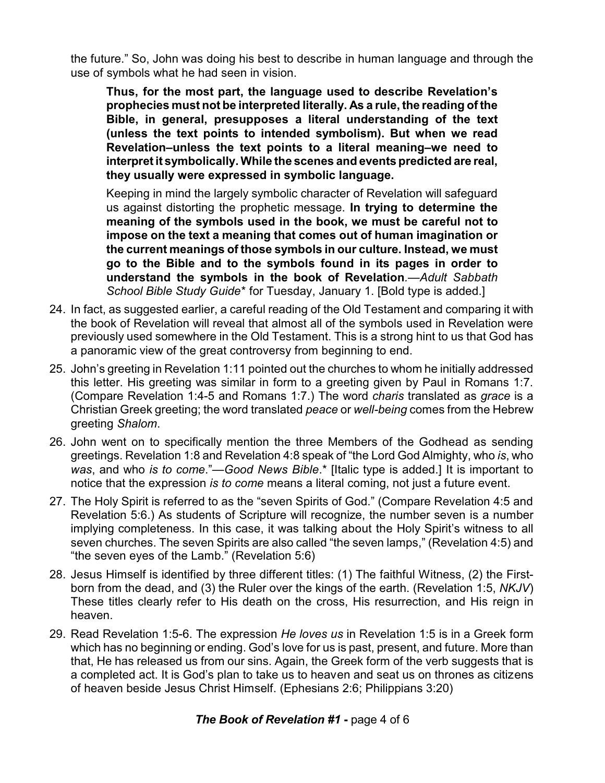the future." So, John was doing his best to describe in human language and through the use of symbols what he had seen in vision.

**Thus, for the most part, the language used to describe Revelation's prophecies must not be interpreted literally. As a rule, the reading of the Bible, in general, presupposes a literal understanding of the text (unless the text points to intended symbolism). But when we read Revelation–unless the text points to a literal meaning–we need to interpret it symbolically. While the scenes and events predicted are real, they usually were expressed in symbolic language.**

Keeping in mind the largely symbolic character of Revelation will safeguard us against distorting the prophetic message. **In trying to determine the meaning of the symbols used in the book, we must be careful not to impose on the text a meaning that comes out of human imagination or the current meanings of those symbols in our culture. Instead, we must go to the Bible and to the symbols found in its pages in order to understand the symbols in the book of Revelation***.*—*Adult Sabbath School Bible Study Guide*\* for Tuesday, January 1. [Bold type is added.]

- 24. In fact, as suggested earlier, a careful reading of the Old Testament and comparing it with the book of Revelation will reveal that almost all of the symbols used in Revelation were previously used somewhere in the Old Testament. This is a strong hint to us that God has a panoramic view of the great controversy from beginning to end.
- 25. John's greeting in Revelation 1:11 pointed out the churches to whom he initially addressed this letter. His greeting was similar in form to a greeting given by Paul in Romans 1:7. (Compare Revelation 1:4-5 and Romans 1:7.) The word *charis* translated as *grace* is a Christian Greek greeting; the word translated *peace* or *well-being* comes from the Hebrew greeting *Shalom*.
- 26. John went on to specifically mention the three Members of the Godhead as sending greetings. Revelation 1:8 and Revelation 4:8 speak of "the Lord God Almighty, who *is*, who *was*, and who *is to come*."—*Good News Bible*.\* [Italic type is added.] It is important to notice that the expression *is to come* means a literal coming, not just a future event.
- 27. The Holy Spirit is referred to as the "seven Spirits of God." (Compare Revelation 4:5 and Revelation 5:6.) As students of Scripture will recognize, the number seven is a number implying completeness. In this case, it was talking about the Holy Spirit's witness to all seven churches. The seven Spirits are also called "the seven lamps," (Revelation 4:5) and "the seven eyes of the Lamb." (Revelation 5:6)
- 28. Jesus Himself is identified by three different titles: (1) The faithful Witness, (2) the Firstborn from the dead, and (3) the Ruler over the kings of the earth. (Revelation 1:5, *NKJV*) These titles clearly refer to His death on the cross, His resurrection, and His reign in heaven.
- 29. Read Revelation 1:5-6. The expression *He loves us* in Revelation 1:5 is in a Greek form which has no beginning or ending. God's love for us is past, present, and future. More than that, He has released us from our sins. Again, the Greek form of the verb suggests that is a completed act. It is God's plan to take us to heaven and seat us on thrones as citizens of heaven beside Jesus Christ Himself. (Ephesians 2:6; Philippians 3:20)

## *The Book of Revelation #1* **-** page 4 of 6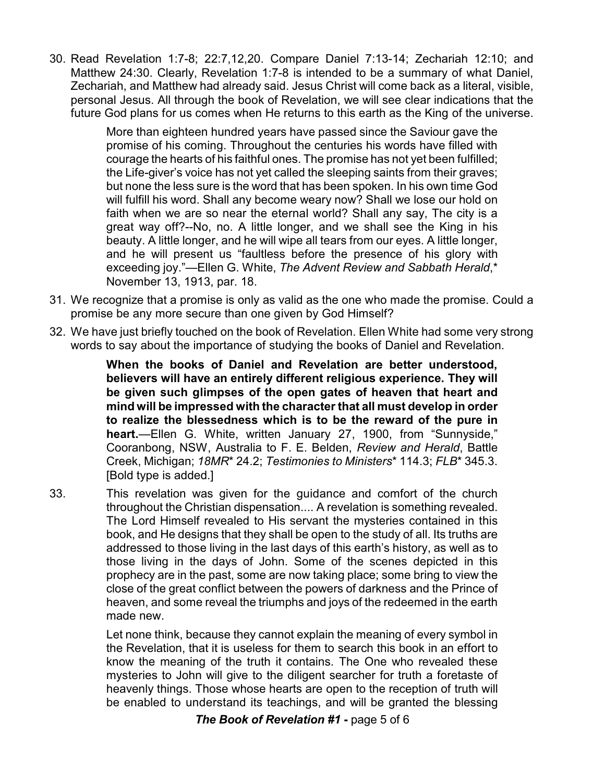30. Read Revelation 1:7-8; 22:7,12,20. Compare Daniel 7:13-14; Zechariah 12:10; and Matthew 24:30. Clearly, Revelation 1:7-8 is intended to be a summary of what Daniel, Zechariah, and Matthew had already said. Jesus Christ will come back as a literal, visible, personal Jesus. All through the book of Revelation, we will see clear indications that the future God plans for us comes when He returns to this earth as the King of the universe.

> More than eighteen hundred years have passed since the Saviour gave the promise of his coming. Throughout the centuries his words have filled with courage the hearts of his faithful ones. The promise has not yet been fulfilled; the Life-giver's voice has not yet called the sleeping saints from their graves; but none the less sure is the word that has been spoken. In his own time God will fulfill his word. Shall any become weary now? Shall we lose our hold on faith when we are so near the eternal world? Shall any say, The city is a great way off?--No, no. A little longer, and we shall see the King in his beauty. A little longer, and he will wipe all tears from our eyes. A little longer, and he will present us "faultless before the presence of his glory with exceeding joy."—Ellen G. White, *The Advent Review and Sabbath Herald*,\* November 13, 1913, par. 18.

- 31. We recognize that a promise is only as valid as the one who made the promise. Could a promise be any more secure than one given by God Himself?
- 32. We have just briefly touched on the book of Revelation. Ellen White had some very strong words to say about the importance of studying the books of Daniel and Revelation.

**When the books of Daniel and Revelation are better understood, believers will have an entirely different religious experience. They will be given such glimpses of the open gates of heaven that heart and mind will be impressed with the character that all must develop in order to realize the blessedness which is to be the reward of the pure in heart.**—Ellen G. White, written January 27, 1900, from "Sunnyside," Cooranbong, NSW, Australia to F. E. Belden, *Review and Herald*, Battle Creek, Michigan; *18MR*\* 24.2; *Testimonies to Ministers*\* 114.3; *FLB*\* 345.3. [Bold type is added.]

33. This revelation was given for the guidance and comfort of the church throughout the Christian dispensation.... A revelation is something revealed. The Lord Himself revealed to His servant the mysteries contained in this book, and He designs that they shall be open to the study of all. Its truths are addressed to those living in the last days of this earth's history, as well as to those living in the days of John. Some of the scenes depicted in this prophecy are in the past, some are now taking place; some bring to view the close of the great conflict between the powers of darkness and the Prince of heaven, and some reveal the triumphs and joys of the redeemed in the earth made new.

> Let none think, because they cannot explain the meaning of every symbol in the Revelation, that it is useless for them to search this book in an effort to know the meaning of the truth it contains. The One who revealed these mysteries to John will give to the diligent searcher for truth a foretaste of heavenly things. Those whose hearts are open to the reception of truth will be enabled to understand its teachings, and will be granted the blessing